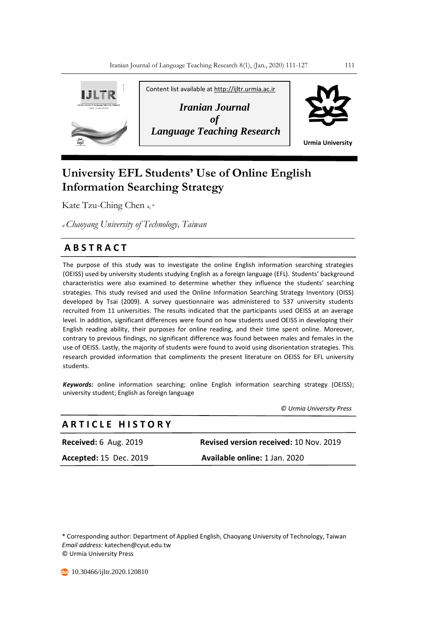

# **University EFL Students' Use of Online English Information Searching Strategy**

Kate Tzu-Ching Chen a, \*

*<sup>a</sup>Chaoyang University of Technology, Taiwan*

## **A B S T R A C T**

The purpose of this study was to investigate the online English information searching strategies (OEISS) used by university students studying English as a foreign language (EFL). Students' background characteristics were also examined to determine whether they influence the students' searching strategies. This study revised and used the Online Information Searching Strategy Inventory (OISS) developed by Tsai (2009). A survey questionnaire was administered to 537 university students recruited from 11 universities. The results indicated that the participants used OEISS at an average level. In addition, significant differences were found on how students used OEISS in developing their English reading ability, their purposes for online reading, and their time spent online. Moreover, contrary to previous findings, no significant difference was found between males and females in the use of OEISS. Lastly, the majority of students were found to avoid using disorientation strategies. This research provided information that compliments the present literature on OEISS for EFL university students.

*Keywords:* online information searching; online English information searching strategy (OEISS); university student; English as foreign language

 *© Urmia University Press*

### **A R T I C L E H I S T O R Y**

**Received:** 6 Aug. 2019 **Revised version received:** 10 Nov. 2019 **Accepted:** 15 Dec. 2019 **Available online:** 1 Jan. 2020

\* Corresponding author: Department of Applied English, Chaoyang University of Technology, Taiwan *Email address:* katechen@cyut.edu.tw © Urmia University Press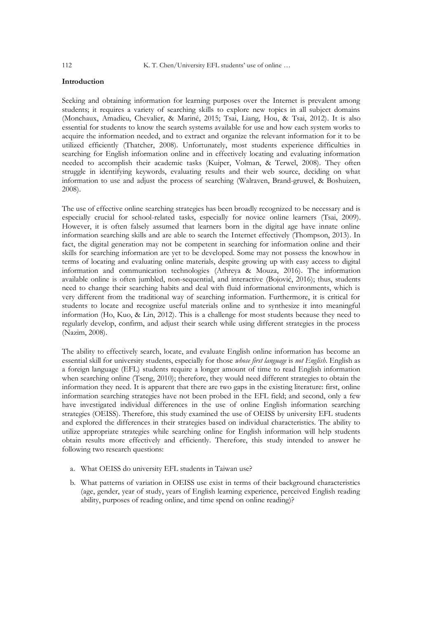#### **Introduction**

Seeking and obtaining information for learning purposes over the Internet is prevalent among students; it requires a variety of searching skills to explore new topics in all subject domains (Monchaux, Amadieu, Chevalier, & Mariné, 2015; Tsai, Liang, Hou, & Tsai, 2012). It is also essential for students to know the search systems available for use and how each system works to acquire the information needed, and to extract and organize the relevant information for it to be utilized efficiently (Thatcher, 2008). Unfortunately, most students experience difficulties in searching for English information online and in effectively locating and evaluating information needed to accomplish their academic tasks (Kuiper, Volman, & Terwel, 2008). They often struggle in identifying keywords, evaluating results and their web source, deciding on what information to use and adjust the process of searching (Walraven, Brand-gruwel, & Boshuizen, 2008).

The use of effective online searching strategies has been broadly recognized to be necessary and is especially crucial for school-related tasks, especially for novice online learners (Tsai, 2009). However, it is often falsely assumed that learners born in the digital age have innate online information searching skills and are able to search the Internet effectively (Thompson, 2013). In fact, the digital generation may not be competent in searching for information online and their skills for searching information are yet to be developed. Some may not possess the knowhow in terms of locating and evaluating online materials, despite growing up with easy access to digital information and communication technologies (Athreya & Mouza, 2016). The information available online is often jumbled, non-sequential, and interactive (Bojović, 2016); thus, students need to change their searching habits and deal with fluid informational environments, which is very different from the traditional way of searching information. Furthermore, it is critical for students to locate and recognize useful materials online and to synthesize it into meaningful information (Ho, Kuo, & Lin, 2012). This is a challenge for most students because they need to regularly develop, confirm, and adjust their search while using different strategies in the process (Nazim, 2008).

The ability to effectively search, locate, and evaluate English online information has become an essential skill for university students, especially for those *whose first language* is *not English*. English as a foreign language (EFL) students require a longer amount of time to read English information when searching online (Tseng, 2010); therefore, they would need different strategies to obtain the information they need. It is apparent that there are two gaps in the existing literature: first, online information searching strategies have not been probed in the EFL field; and second, only a few have investigated individual differences in the use of online English information searching strategies (OEISS). Therefore, this study examined the use of OEISS by university EFL students and explored the differences in their strategies based on individual characteristics. The ability to utilize appropriate strategies while searching online for English information will help students obtain results more effectively and efficiently. Therefore, this study intended to answer he following two research questions:

- a. What OEISS do university EFL students in Taiwan use?
- b. What patterns of variation in OEISS use exist in terms of their background characteristics (age, gender, year of study, years of English learning experience, perceived English reading ability, purposes of reading online, and time spend on online reading)?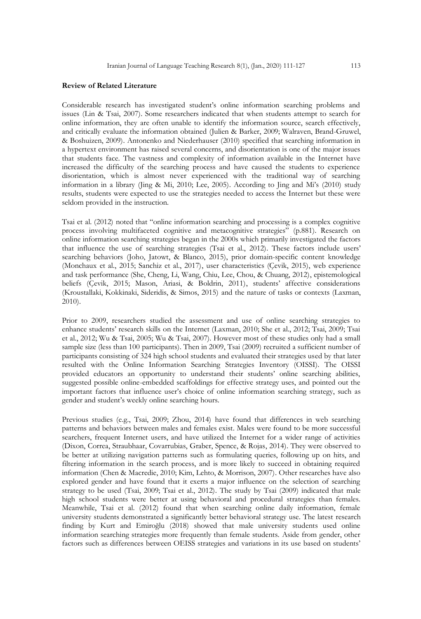#### **Review of Related Literature**

Considerable research has investigated student's online information searching problems and issues (Lin & Tsai, 2007). Some researchers indicated that when students attempt to search for online information, they are often unable to identify the information source, search effectively, and critically evaluate the information obtained (Julien & Barker, 2009; Walraven, Brand-Gruwel, & Boshuizen, 2009). Antonenko and Niederhauser (2010) specified that searching information in a hypertext environment has raised several concerns, and disorientation is one of the major issues that students face. The vastness and complexity of information available in the Internet have increased the difficulty of the searching process and have caused the students to experience disorientation, which is almost never experienced with the traditional way of searching information in a library (Jing & Mi, 2010; Lee, 2005). According to Jing and Mi's (2010) study results, students were expected to use the strategies needed to access the Internet but these were seldom provided in the instruction.

Tsai et al. (2012) noted that "online information searching and processing is a complex cognitive process involving multifaceted cognitive and metacognitive strategies" (p.881). Research on online information searching strategies began in the 2000s which primarily investigated the factors that influence the use of searching strategies (Tsai et al., 2012). These factors include users' searching behaviors (Joho, Jatowt, & Blanco, 2015), prior domain-specific content knowledge (Monchaux et al., 2015; Sanchiz et al., 2017), user characteristics (Çevik, 2015), web experience and task performance (She, Cheng, Li, Wang, Chiu, Lee, Chou, & Chuang, 2012), epistemological beliefs (Çevik, 2015; Mason, Ariasi, & Boldrin, 2011), students' affective considerations (Kroustallaki, Kokkinaki, Sideridis, & Simos, 2015) and the nature of tasks or contexts (Laxman, 2010).

Prior to 2009, researchers studied the assessment and use of online searching strategies to enhance students' research skills on the Internet (Laxman, 2010; She et al., 2012; Tsai, 2009; Tsai et al., 2012; Wu & Tsai, 2005; Wu & Tsai, 2007). However most of these studies only had a small sample size (less than 100 participants). Then in 2009, Tsai (2009) recruited a sufficient number of participants consisting of 324 high school students and evaluated their strategies used by that later resulted with the Online Information Searching Strategies Inventory (OISSI). The OISSI provided educators an opportunity to understand their students' online searching abilities, suggested possible online-embedded scaffoldings for effective strategy uses, and pointed out the important factors that influence user's choice of online information searching strategy, such as gender and student's weekly online searching hours.

Previous studies (e.g., Tsai, 2009; Zhou, 2014) have found that differences in web searching patterns and behaviors between males and females exist. Males were found to be more successful searchers, frequent Internet users, and have utilized the Internet for a wider range of activities (Dixon, Correa, Straubhaar, Covarrubias, Graber, Spence, & Rojas, 2014). They were observed to be better at utilizing navigation patterns such as formulating queries, following up on hits, and filtering information in the search process, and is more likely to succeed in obtaining required information (Chen & Macredie, 2010; Kim, Lehto, & Morrison, 2007). Other researches have also explored gender and have found that it exerts a major influence on the selection of searching strategy to be used (Tsai, 2009; Tsai et al., 2012). The study by Tsai (2009) indicated that male high school students were better at using behavioral and procedural strategies than females. Meanwhile, Tsai et al. (2012) found that when searching online daily information, female university students demonstrated a significantly better behavioral strategy use. The latest research finding by Kurt and Emiroğlu (2018) showed that male university students used online information searching strategies more frequently than female students. Aside from gender, other factors such as differences between OEISS strategies and variations in its use based on students'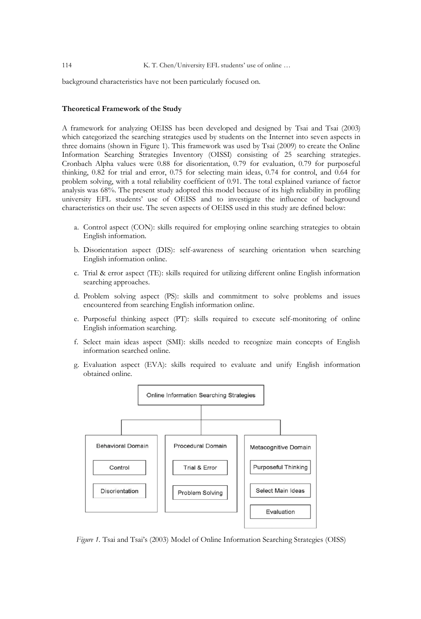114 K. T. Chen/University EFL students' use of online ...

background characteristics have not been particularly focused on.

#### **Theoretical Framework of the Study**

A framework for analyzing OEISS has been developed and designed by Tsai and Tsai (2003) which categorized the searching strategies used by students on the Internet into seven aspects in three domains (shown in Figure 1). This framework was used by Tsai (2009) to create the Online Information Searching Strategies Inventory (OISSI) consisting of 25 searching strategies*.* Cronbach Alpha values were 0.88 for disorientation, 0.79 for evaluation, 0.79 for purposeful thinking, 0.82 for trial and error, 0.75 for selecting main ideas, 0.74 for control, and 0.64 for problem solving, with a total reliability coefficient of 0.91. The total explained variance of factor analysis was 68%. The present study adopted this model because of its high reliability in profiling university EFL students' use of OEISS and to investigate the influence of background characteristics on their use. The seven aspects of OEISS used in this study are defined below:

- a. Control aspect (CON): skills required for employing online searching strategies to obtain English information.
- b. Disorientation aspect (DIS): self-awareness of searching orientation when searching English information online.
- c. Trial & error aspect (TE): skills required for utilizing different online English information searching approaches.
- d. Problem solving aspect (PS): skills and commitment to solve problems and issues encountered from searching English information online.
- e. Purposeful thinking aspect (PT): skills required to execute self-monitoring of online English information searching.
- f. Select main ideas aspect (SMI): skills needed to recognize main concepts of English information searched online.
- g. Evaluation aspect (EVA): skills required to evaluate and unify English information obtained online.



*Figure 1.* Tsai and Tsai's (2003) Model of Online Information Searching Strategies (OISS)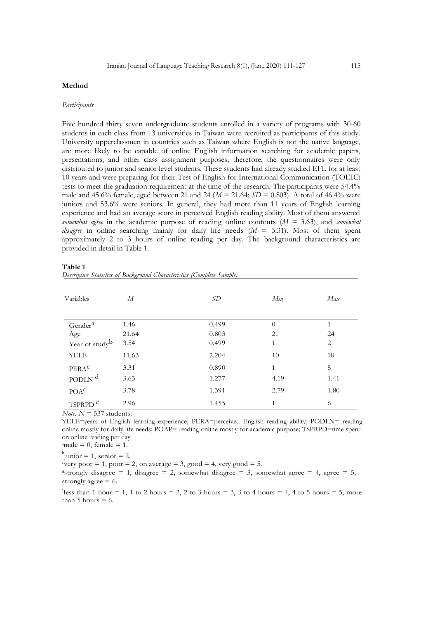#### **Method**

#### *Participants*

Five hundred thirty seven undergraduate students enrolled in a variety of programs with 30-60 students in each class from 13 universities in Taiwan were recruited as participants of this study. University upperclassmen in countries such as Taiwan where English is not the native language, are more likely to be capable of online English information searching for academic papers, presentations, and other class assignment purposes; therefore, the questionnaires were only distributed to junior and senior level students. These students had already studied EFL for at least 10 years and were preparing for their Test of English for International Communication (TOEIC) tests to meet the graduation requirement at the time of the research. The participants were 54.4% male and 45.6% female, aged between 21 and 24 ( $M = 21.64$ ;  $SD = 0.803$ ). A total of 46.4% were juniors and 53.6% were seniors. In general, they had more than 11 years of English learning experience and had an average score in perceived English reading ability. Most of them answered *somewhat agree* in the academic purpose of reading online contents (*M* = 3.63), and *somewhat disagree* in online searching mainly for daily life needs (*M* = 3.31). Most of them spent approximately 2 to 3 hours of online reading per day. The background characteristics are provided in detail in Table 1.

| ------- |                                                                        |  |
|---------|------------------------------------------------------------------------|--|
|         | Descriptive Statistics of Background Characteristics (Complete Sample) |  |
|         |                                                                        |  |

| Variables                  | М     | SD    | Min          | Max  |
|----------------------------|-------|-------|--------------|------|
| Gender <sup>a</sup>        | 1.46  | 0.499 | $\theta$     | 1    |
| Age                        | 21.64 | 0.803 | 21           | 24   |
| Year of study <sup>b</sup> | 3.54  | 0.499 | 1            | 2    |
| <b>YELE</b>                | 11.63 | 2.204 | 10           | 18   |
| PERAC                      | 3.31  | 0.890 | $\mathbf{1}$ | 5    |
| PODLN <sup>d</sup>         | 3.63  | 1.277 | 4.19         | 1.41 |
| POA <sup>d</sup>           | 3.78  | 1.391 | 2.79         | 1.80 |
| TSPRPD <sup>e</sup>        | 2.96  | 1.455 | 1            | 6    |

*Note. N* = 537 students.

YELE=years of English learning experience; PERA=perceived English reading ability; PODLN= reading online mostly for daily life needs; POAP= reading online mostly for academic purpose; TSPRPD=time spend on online reading per day

 $a$ male = 0, female = 1.

 $\mu$ junior = 1, senior = 2.

very poor  $= 1$ , poor  $= 2$ , on average  $= 3$ , good  $= 4$ , very good  $= 5$ .

<sup>d</sup>strongly disagree = 1, disagree = 2, somewhat disagree = 3, somewhat agree = 4, agree = 5, strongly agree = 6.

<sup>e</sup> less than 1 hour = 1, 1 to 2 hours = 2, 2 to 3 hours = 3, 3 to 4 hours = 4, 4 to 5 hours = 5, more than  $5$  hours  $= 6$ .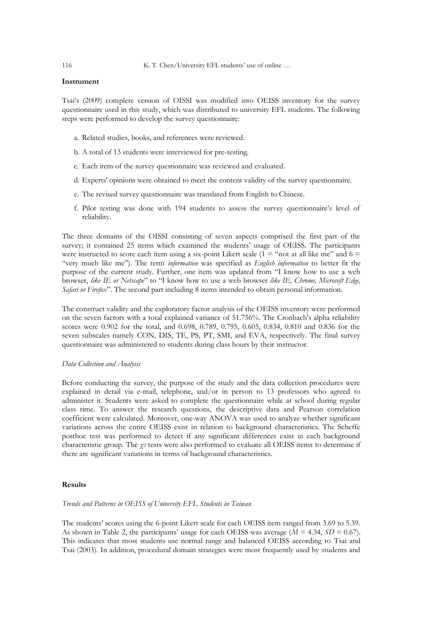#### **Instrument**

Tsai's (2009) complete version of OISSI was modified into OEISS inventory for the survey questionnaire used in this study, which was distributed to university EFL students. The following steps were performed to develop the survey questionnaire:

- a. Related studies, books, and references were reviewed.
- b. A total of 13 students were interviewed for pre-testing.
- c. Each item of the survey questionnaire was reviewed and evaluated.
- d. Experts' opinions were obtained to meet the content validity of the survey questionnaire.
- e. The revised survey questionnaire was translated from English to Chinese.
- f. Pilot testing was done with 194 students to assess the survey questionnaire's level of reliability.

The three domains of the OISSI consisting of seven aspects comprised the first part of the survey; it contained 25 items which examined the students' usage of OEISS. The participants were instructed to score each item using a six-point Likert scale ( $1 =$ "not at all like me" and  $6 =$ "very much like me"). The term *information* was specified as *English information* to better fit the purpose of the current study. Further, one item was updated from "I know how to use a web browser, *like IE or Netscape*" to "I know how to use a web browser *like IE, Chrome, Microsoft Edge, Safari or Firefox*". The second part including 8 items intended to obtain personal information.

The construct validity and the exploratory factor analysis of the OEISS inventory were performed on the seven factors with a total explained variance of 51.756%. The Cronbach's alpha reliability scores were 0.902 for the total, and 0.698, 0.789, 0.795, 0.605, 0.834, 0.810 and 0.836 for the seven subscales namely CON, DIS, TE, PS, PT, SMI, and EVA, respectively. The final survey questionnaire was administered to students during class hours by their instructor.

#### *Data Collection and Analysis*

Before conducting the survey, the purpose of the study and the data collection procedures were explained in detail via e-mail, telephone, and/or in person to 13 professors who agreed to administer it. Students were asked to complete the questionnaire while at school during regular class time. To answer the research questions, the descriptive data and Pearson correlation coefficient were calculated. Moreover, one-way ANOVA was used to analyze whether significant variations across the entire OEISS exist in relation to background characteristics. The Scheffe posthoc test was performed to detect if any significant differences exist in each background characteristic group. The *χ<sup>2</sup>* tests were also performed to evaluate all OEISS items to determine if there are significant variations in terms of background characteristics.

#### **Results**

#### *Trends and Patterns in OEISS of University EFL Students in Taiwan*

The students' scores using the 6-point Likert scale for each OEISS item ranged from 3.69 to 5.39. As shown in Table 2, the participants' usage for each OEISS was average  $(M = 4.34, SD = 0.67)$ . This indicates that most students use normal range and balanced OEISS according to Tsai and Tsai (2003). In addition, procedural domain strategies were most frequently used by students and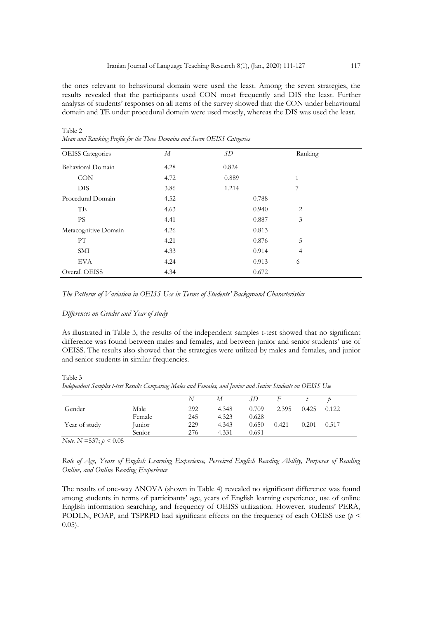the ones relevant to behavioural domain were used the least. Among the seven strategies, the results revealed that the participants used CON most frequently and DIS the least. Further analysis of students' responses on all items of the survey showed that the CON under behavioural domain and TE under procedural domain were used mostly, whereas the DIS was used the least.

| $\sim$                  |                  | . .   |                |  |
|-------------------------|------------------|-------|----------------|--|
| <b>OEISS</b> Categories | $\boldsymbol{M}$ | SD    | Ranking        |  |
| Behavioral Domain       | 4.28             | 0.824 |                |  |
| CON                     | 4.72             | 0.889 | $\mathbf{1}$   |  |
| <b>DIS</b>              | 3.86             | 1.214 | 7              |  |
| Procedural Domain       | 4.52             | 0.788 |                |  |
| TE                      | 4.63             | 0.940 | $\overline{2}$ |  |
| <b>PS</b>               | 4.41             | 0.887 | 3              |  |
| Metacognitive Domain    | 4.26             | 0.813 |                |  |
| PT                      | 4.21             | 0.876 | 5              |  |
| SMI                     | 4.33             | 0.914 | 4              |  |
| <b>EVA</b>              | 4.24             | 0.913 | 6              |  |
| Overall OEISS           | 4.34             | 0.672 |                |  |

Table 2 *Mean and Ranking Profile for the Three Domains and Seven OEISS Categories*

#### *Differences on Gender and Year of study*

As illustrated in Table 3, the results of the independent samples t-test showed that no significant difference was found between males and females, and between junior and senior students' use of OEISS. The results also showed that the strategies were utilized by males and females, and junior and senior students in similar frequencies.

Table 3

|  | Independent Samples t-test Results Comparing Males and Females, and Junior and Senior Students on OEISS Use |  |  |  |  |  |  |  |  |  |  |  |  |  |
|--|-------------------------------------------------------------------------------------------------------------|--|--|--|--|--|--|--|--|--|--|--|--|--|
|--|-------------------------------------------------------------------------------------------------------------|--|--|--|--|--|--|--|--|--|--|--|--|--|

|               |        | ╲   | М     | SD    |       |       |       |
|---------------|--------|-----|-------|-------|-------|-------|-------|
| Gender        | Male   | 292 | 4.348 | 0.709 | 2.395 | 0.425 | 0.122 |
|               | Female | 245 | 4.323 | 0.628 |       |       |       |
| Year of study | Junior | 229 | 4.343 | 0.650 | 0.421 | 0.201 | 0.517 |
|               | Senior | 276 | 4.331 | 0.691 |       |       |       |

*Note. N* =537; *p* < 0.05

*Role of Age, Years of English Learning Experience, Perceived English Reading Ability, Purposes of Reading Online, and Online Reading Experience* 

The results of one-way ANOVA (shown in Table 4) revealed no significant difference was found among students in terms of participants' age, years of English learning experience, use of online English information searching, and frequency of OEISS utilization. However, students' PERA, PODLN, POAP, and TSPRPD had significant effects on the frequency of each OEISS use (*p* < 0.05).

*The Patterns of Variation in OEISS Use in Terms of Students' Background Characteristics*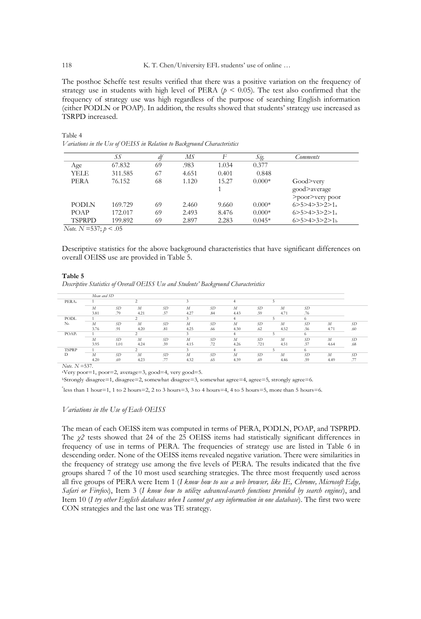The posthoc Scheffe test results verified that there was a positive variation on the frequency of strategy use in students with high level of PERA ( $p < 0.05$ ). The test also confirmed that the frequency of strategy use was high regardless of the purpose of searching English information (either PODLN or POAP). In addition, the results showed that students' strategy use increased as TSRPD increased.

|               | SS      | df | МS    | F     | S1g.     | Comments                           |
|---------------|---------|----|-------|-------|----------|------------------------------------|
| Age           | 67.832  | 69 | .983  | 1.034 | 0.377    |                                    |
| <b>YELE</b>   | 311.585 | 67 | 4.651 | 0.401 | 0.848    |                                    |
| <b>PERA</b>   | 76.152  | 68 | 1.120 | 15.27 | $0.000*$ | Good>very                          |
|               |         |    |       |       |          | good>average                       |
|               |         |    |       |       |          | >poor>very poor                    |
| <b>PODLN</b>  | 169.729 | 69 | 2.460 | 9.660 | $0.000*$ | 6 > 5 > 4 > 3 > 2 > 1 <sub>a</sub> |
| <b>POAP</b>   | 172.017 | 69 | 2.493 | 8.476 | $0.000*$ | 6 > 5 > 4 > 3 > 2 > 1              |
| <b>TSPRPD</b> | 199.892 | 69 | 2.897 | 2.283 | $0.045*$ | 6 > 5 > 4 > 3 > 2 > 1 <sub>b</sub> |

*Variations in the Use of OEISS in Relation to Background Characteristics*

*Note. N* =537; *p* < .05

Descriptive statistics for the above background characteristics that have significant differences on overall OEISS use are provided in Table 5.

#### **Table 5**

*Descriptive Statistics of Overall OEISS Use and Students' Background Characteristics*

|                   | Mean and SD      |               |                |               |                  |           |      |               |      |                 |      |     |
|-------------------|------------------|---------------|----------------|---------------|------------------|-----------|------|---------------|------|-----------------|------|-----|
| PERA <sub>2</sub> |                  |               |                |               |                  |           |      |               |      |                 |      |     |
|                   | M                | <sub>SD</sub> | $\overline{M}$ | <sub>SD</sub> | $\boldsymbol{M}$ | <b>SD</b> | M    | <b>SD</b>     | M    | SD <sub>1</sub> |      |     |
|                   | 3.81             | .79           | 4.21           | .57           | 4.27             | .84       | 4.43 | .59           | 4.71 | .76             |      |     |
| <b>PODL</b>       |                  |               |                |               |                  |           |      |               |      | 6               |      |     |
| N <sub>b</sub>    | $\boldsymbol{M}$ | <b>SD</b>     | $\overline{M}$ | <sub>SD</sub> | M                | <b>SD</b> | M    | <sub>SD</sub> | M    | SD.             | М    | SD. |
|                   | 3.76             | .91           | 4.20           | .81           | 4.25             | .66       | 4.30 | .62           | 4.52 | .56             | 4.71 | .60 |
| POAP <sub>c</sub> |                  |               |                |               |                  |           |      |               |      | 6.              |      |     |
|                   | $\boldsymbol{M}$ | <b>SD</b>     | $\overline{M}$ | <sub>SD</sub> | $\boldsymbol{M}$ | <b>SD</b> | M    | <sub>SD</sub> | M    | SD <sub>1</sub> | М    | SD. |
|                   | 3.95             | 1.01          | 4.24           | .59           | 4.15             | .72       | 4.26 | .721          | 4.51 | .57             | 4.64 | .68 |
| <b>TSPRP</b>      |                  |               |                |               |                  |           |      |               |      | 6.              |      |     |
| D                 | $\boldsymbol{M}$ | <b>SD</b>     | M              | SD.           | M                | <b>SD</b> | M    | SD.           | M    | SD              | М    | SD. |
|                   | 4.20             | .69           | 4.23           | .77           | 4.32             | .65       | 4.39 | .69           | 4.46 | .59             | 4.49 | .77 |

*Note. N* =537.

<sup>a</sup>Very poor=1, poor=2, average=3, good=4, very good=5.

<sup>b</sup>Strongly disagree=1, disagree=2, somewhat disagree=3, somewhat agree=4, agree=5, strongly agree=6.

<sup>c</sup>less than 1 hour=1, 1 to 2 hours=2, 2 to 3 hours=3, 3 to 4 hours=4, 4 to 5 hours=5, more than 5 hours=6.

#### *Variations in the Use of Each OEISS*

The mean of each OEISS item was computed in terms of PERA, PODLN, POAP, and TSPRPD. The *χ2* tests showed that 24 of the 25 OEISS items had statistically significant differences in frequency of use in terms of PERA. The frequencies of strategy use are listed in Table 6 in descending order. None of the OEISS items revealed negative variation. There were similarities in the frequency of strategy use among the five levels of PERA. The results indicated that the five groups shared 7 of the 10 most used searching strategies. The three most frequently used across all five groups of PERA were Item 1 (*I know how to use a web browser, like IE, Chrome, Microsoft Edge, Safari or Firefox*), Item 3 (*I know how to utilize advanced-search functions provided by search engines*), and Item 10 (*I try other English databases when I cannot get any information in one database*). The first two were CON strategies and the last one was TE strategy.

Table 4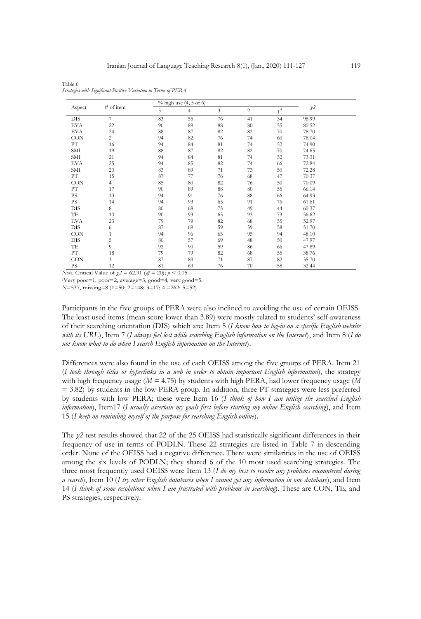|            |                |    | $%$ high use $(4, 5$ or 6) |    |                |               |          |  |
|------------|----------------|----|----------------------------|----|----------------|---------------|----------|--|
| Aspect     | # of item      | 5  | $\overline{4}$             | 3  | $\overline{c}$ | $\rm{a}$<br>1 | $\chi^2$ |  |
| <b>DIS</b> | 7              | 83 | 55                         | 76 | 41             | 34            | 98.99    |  |
| EVA        | 22             | 90 | 89                         | 88 | 80             | 55            | 80.52    |  |
| EVA        | 24             | 88 | 87                         | 82 | 82             | 70            | 78.70    |  |
| <b>CON</b> | $\overline{c}$ | 94 | 82                         | 76 | 74             | 60            | 78.04    |  |
| PT         | 16             | 94 | 84                         | 81 | 74             | 52            | 74.90    |  |
| SMI        | 19             | 88 | 87                         | 82 | 82             | 70            | 74.65    |  |
| SMI        | 21             | 94 | 84                         | 81 | 74             | 52            | 73.31    |  |
| EVA        | 25             | 94 | 85                         | 82 | 74             | 66            | 72.84    |  |
| SMI        | 20             | 83 | 89                         | 71 | 73             | 50            | 72.28    |  |
| PТ         | 15             | 87 | 77                         | 76 | 68             | 47            | 70.37    |  |
| <b>CON</b> | 4              | 85 | 80                         | 82 | 76             | 50            | 70.09    |  |
| PТ         | 17             | 90 | 89                         | 88 | 80             | 55            | 66.14    |  |
| <b>PS</b>  | 13             | 94 | 91                         | 76 | 88             | 66            | 64.93    |  |
| PS         | 14             | 94 | 93                         | 65 | 91             | 76            | 61.61    |  |
| <b>DIS</b> | 8              | 80 | 68                         | 75 | 49             | 44            | 60.37    |  |
| TE         | 10             | 90 | 93                         | 65 | 93             | 73            | 56.62    |  |
| EVA        | 23             | 79 | 79                         | 82 | 68             | 55            | 52.97    |  |
| DIS        | 6              | 87 | 69                         | 59 | 59             | 58            | 51.70    |  |
| <b>CON</b> | 1              | 94 | 96                         | 65 | 95             | 94            | 48.10    |  |
| DIS        | 5              | 80 | 57                         | 69 | 48             | 50            | 47.97    |  |
| TE         | 9              | 92 | 90                         | 59 | 86             | 66            | 47.89    |  |
| PТ         | 18             | 79 | 79                         | 82 | 68             | 55            | 38.76    |  |
| CON        | 3              | 87 | 89                         | 71 | 87             | 82            | 35.70    |  |
| PS         | 12             | 81 | 69                         | 76 | 70             | 58            | 32.44    |  |

Table 6 *Strategies with Significant Positive Variation in Terms of PERA*

*Note.* Critical Value of *χ2* = 62.91 (*df* = 20); *p* < 0.05.

<sup>a</sup>Very poor=1, poor=2, average=3, good=4, very good=5.

*N*=537, missing=8 (1=50; 2=148; 3=17; 4 =262; 5=52)

Participants in the five groups of PERA were also inclined to avoiding the use of certain OEISS. The least used items (mean score lower than 3.89) were mostly related to students' self-awareness of their searching orientation (DIS) which are: Item 5 (*I know how to log-in on a specific English website with its URL*), Item 7 (*I always feel lost while searching English information on the Internet*), and Item 8 (*I do not know what to do when I search English information on the Internet*).

Differences were also found in the use of each OEISS among the five groups of PERA. Item 21 (*I look through titles or hyperlinks in a web in order to obtain important English information*), the strategy with high frequency usage (*M* = 4.75) by students with high PERA, had lower frequency usage (*M* = 3.82) by students in the low PERA group. In addition, three PT strategies were less preferred by students with low PERA; these were Item 16 (*I think of how I can utilize the searched English information*), Item17 (*I usually ascertain my goals first before starting my online English searching*), and Item 15 (*I keep on reminding myself of the purpose for searching English online*).

The *χ2* test results showed that 22 of the 25 OEISS had statistically significant differences in their frequency of use in terms of PODLN. These 22 strategies are listed in Table 7 in descending order. None of the OEISS had a negative difference. There were similarities in the use of OEISS among the six levels of PODLN; they shared 6 of the 10 most used searching strategies. The three most frequently used OEISS were Item 13 (*I do my best to resolve any problems encountered during a search*), Item 10 (*I try other English databases when I cannot get any information in one database*), and Item 14 (*I think of some resolutions when I am frustrated with problems in searching*). These are CON, TE, and PS strategies, respectively.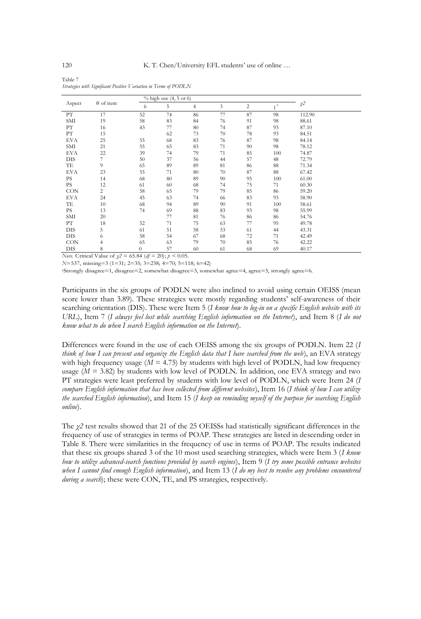| Table 7                                                          |  |
|------------------------------------------------------------------|--|
| Strategies with Significant Positive Variation in Terms of PODLN |  |

|                                           |                              |                      | $%$ high use $(4, 5 \text{ or } 6)$         |    |    |                |                      |         |  |
|-------------------------------------------|------------------------------|----------------------|---------------------------------------------|----|----|----------------|----------------------|---------|--|
| Aspect                                    | # of item                    | 6                    | 5                                           | 4  | 3  | $\overline{c}$ | $\overline{1}^{\,a}$ | $\chi2$ |  |
| PТ                                        | 17                           | 52                   | 74                                          | 86 | 77 | 87             | 98                   | 112.90  |  |
| SMI                                       | 19                           | 58                   | 83                                          | 84 | 76 | 91             | 98                   | 88.61   |  |
| ${\rm PT}$                                | 16                           | 43                   | 77                                          | 80 | 74 | 87             | 93                   | 87.10   |  |
| PТ                                        | 15                           |                      | 62                                          | 73 | 70 | 78             | 93                   | 84.51   |  |
| EVA                                       | 25                           | 55                   | 68                                          | 83 | 76 | 87             | 98                   | 84.14   |  |
| SMI                                       | 21                           | 55                   | 65                                          | 83 | 71 | 90             | 98                   | 78.12   |  |
| EVA                                       | 22                           | 39                   | 74                                          | 79 | 71 | 85             | 100                  | 74.87   |  |
| DIS                                       | 7                            | 50                   | 37                                          | 56 | 44 | 57             | 48                   | 72.79   |  |
| TE                                        | 9                            | 65                   | 89                                          | 89 | 81 | 86             | 88                   | 71.34   |  |
| EVA                                       | 23                           | 55                   | 71                                          | 80 | 70 | 87             | 88                   | 67.42   |  |
| <b>PS</b>                                 | 14                           | 68                   | 80                                          | 89 | 90 | 95             | 100                  | 61.00   |  |
| PS.                                       | 12                           | 61                   | 60                                          | 68 | 74 | 75             | 71                   | 60.30   |  |
| CON                                       | $\overline{c}$               | 58                   | 65                                          | 79 | 79 | 85             | 86                   | 59.20   |  |
| EVA                                       | 24                           | 45                   | 63                                          | 74 | 66 | 83             | 93                   | 58.90   |  |
| TE                                        | 10                           | 68                   | 94                                          | 89 | 90 | 91             | 100                  | 58.61   |  |
| <b>PS</b>                                 | 13                           | 74                   | 69                                          | 88 | 83 | 93             | 98                   | 55.99   |  |
| SMI                                       | 20                           |                      | 77                                          | 81 | 76 | 86             | 86                   | 54.76   |  |
| PТ                                        | 18                           | 52                   | 71                                          | 75 | 63 | 77             | 95                   | 49.78   |  |
| <b>DIS</b>                                | 5                            | 61                   | 51                                          | 58 | 53 | 61             | 44                   | 43.31   |  |
| <b>DIS</b>                                | 6                            | 58                   | 54                                          | 67 | 68 | 72             | 71                   | 42.49   |  |
| <b>CON</b>                                | 4                            | 65                   | 63                                          | 79 | 70 | 85             | 76                   | 42.22   |  |
| <b>DIS</b><br>$\mathbf{v}$ . $\mathbf{v}$ | 8<br>1.37.1<br>$\sim$ $\sim$ | $\theta$<br>27.01.02 | 57<br>$\sim$<br>$\sim$ $\sim$ $\sim$ $\sim$ | 60 | 61 | 68             | 69                   | 40.17   |  |

*Note.* Critical Value of *χ2* = 65.84 (*df* = 20); *p* < 0.05.

*N*=537, missing=3 (1=31; 2=35; 3=238; 4=70; 5=118; 6=42)

<sup>a</sup>Strongly disagree=1, disagree=2, somewhat disagree=3, somewhat agree=4, agree=5, strongly agree=6.

Participants in the six groups of PODLN were also inclined to avoid using certain OEISS (mean score lower than 3.89). These strategies were mostly regarding students' self-awareness of their searching orientation (DIS). These were Item 5 (*I know how to log-in on a specific English website with its URL*), Item 7 (*I always feel lost while searching English information on the Internet*), and Item 8 (*I do not know what to do when I search English information on the Internet*).

Differences were found in the use of each OEISS among the six groups of PODLN. Item 22 (*I think of how I can present and organize the English data that I have searched from the web*), an EVA strategy with high frequency usage  $(M = 4.75)$  by students with high level of PODLN, had low frequency usage  $(M = 3.82)$  by students with low level of PODLN. In addition, one EVA strategy and two PT strategies were least preferred by students with low level of PODLN, which were Item 24 (*I compare English information that has been collected from different websites*), Item 16 (*I think of how I can utilize the searched English information*), and Item 15 (*I keep on reminding myself of the purpose for searching English online*).

The *χ2* test results showed that 21 of the 25 OEISSs had statistically significant differences in the frequency of use of strategies in terms of POAP. These strategies are listed in descending order in Table 8. There were similarities in the frequency of use in terms of POAP. The results indicated that these six groups shared 3 of the 10 most used searching strategies, which were Item 3 (*I know how to utilize advanced-search functions provided by search engines*), Item 9 (*I try some possible entrance websites when I cannot find enough English information*), and Item 13 (*I do my best to resolve any problems encountered during a search*); these were CON, TE, and PS strategies, respectively.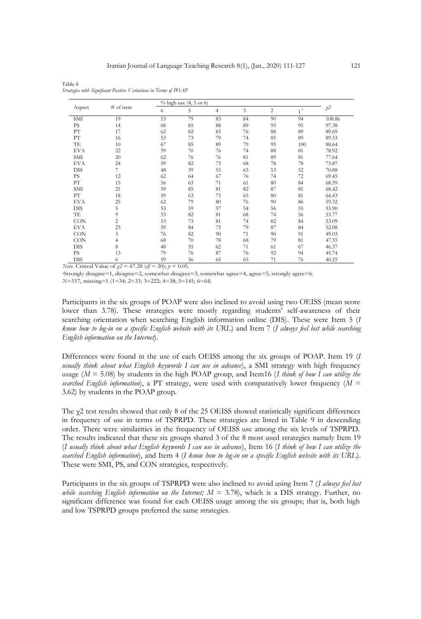|            |                |    | % high use (4, 5 or 6) |                |    |                |                          | $\chi^2$ |
|------------|----------------|----|------------------------|----------------|----|----------------|--------------------------|----------|
| Aspect     | # of item      | 6  | 5                      | $\overline{4}$ | 3  | $\overline{c}$ | $\rm{a}$<br>$\mathbf{1}$ |          |
| SMI        | 19             | 53 | 79                     | 83             | 84 | 90             | 94                       | 108.86   |
| <b>PS</b>  | 14             | 68 | 85                     | $88\,$         | 89 | 95             | 95                       | 97.38    |
| ${\rm PT}$ | 17             | 62 | 82                     | 83             | 76 | 88             | 89                       | 89.69    |
| ${\rm PT}$ | 16             | 53 | 73                     | 79             | 74 | 85             | 89                       | 89.53    |
| TE         | 10             | 67 | 85                     | 89             | 79 | 95             | 100                      | 88.64    |
| <b>EVA</b> | 22             | 59 | 70                     | 76             | 74 | 88             | 81                       | 78.92    |
| SMI        | 20             | 62 | 76                     | 76             | 81 | 89             | 81                       | 77.64    |
| <b>EVA</b> | 24             | 59 | 82                     | 73             | 68 | 78             | 78                       | 73.87    |
| <b>DIS</b> | 7              | 48 | 39                     | 53             | 63 | 53             | 52                       | 70.88    |
| PS         | 12             | 62 | 64                     | 67             | 76 | 74             | 72                       | 69.45    |
| ${\rm PT}$ | 15             | 56 | 63                     | 71             | 61 | 80             | 84                       | 68.59    |
| SMI        | 21             | 59 | 85                     | 81             | 82 | 87             | 81                       | 68.42    |
| PТ         | 18             | 59 | 63                     | 73             | 65 | 80             | 81                       | 64.43    |
| <b>EVA</b> | 25             | 62 | 79                     | 80             | 76 | 90             | 86                       | 59.32    |
| DIS        | 5              | 53 | 59                     | 57             | 54 | 56             | 55                       | 53.90    |
| TE         | 9              | 53 | 82                     | 81             | 68 | 74             | 56                       | 53.77    |
| <b>CON</b> | $\overline{c}$ | 53 | 73                     | 81             | 74 | 82             | 84                       | 53.09    |
| <b>EVA</b> | 23             | 59 | 84                     | 75             | 79 | 87             | 84                       | 52.08    |
| CON        | 3              | 76 | 82                     | 90             | 71 | 90             | 91                       | 49.03    |
| CON        | 4              | 68 | 70                     | 78             | 68 | 79             | 81                       | 47.55    |
| <b>DIS</b> | 8              | 48 | 55                     | 62             | 71 | 61             | 67                       | 46.37    |
| PS         | 13             | 79 | 76                     | 87             | 76 | 92             | 94                       | 45.74    |
| DIS        | 6              | 59 | 56                     | 65             | 65 | 71             | 76                       | 40.25    |

Table 8 *Strategies with Significant Positive Variations in Terms of POAP*

*Note.* Critical Value of *χ2* = 67.28 (*df* = 20); *p* < 0.05.

Participants in the six groups of POAP were also inclined to avoid using two OEISS (mean score lower than 3.78). These strategies were mostly regarding students' self-awareness of their searching orientation when searching English information online (DIS). These were Item 5 (*I know how to log-in on a specific English website with its URL*) and Item 7 (*I always feel lost while searching English information on the Internet*).

Differences were found in the use of each OEISS among the six groups of POAP. Item 19 (*I usually think about what English keywords I can use in advance*), a SMI strategy with high frequency usage (*M* = 5.08) by students in the high POAP group, and Item16 (*I think of how I can utilize the searched English information*), a PT strategy, were used with comparatively lower frequency ( $M =$ 3.62) by students in the POAP group.

The  $\gamma$ 2 test results showed that only 8 of the 25 OEISS showed statistically significant differences in frequency of use in terms of TSPRPD. These strategies are listed in Table 9 in descending order. There were similarities in the frequency of OEISS use among the six levels of TSPRPD. The results indicated that these six groups shared 3 of the 8 most used strategies namely Item 19 (*I usually think about what English keywords I can use in advance*), Item 16 (*I think of how I can utilize the searched English information*), and Item 4 (*I know how to log-in on a specific English website with its URL*). These were SMI, PS, and CON strategies, respectively.

Participants in the six groups of TSPRPD were also inclined to avoid using Item 7 (*I always feel lost while searching English information on the Internet; M* = 3.78), which is a DIS strategy. Further, no significant difference was found for each OEISS usage among the six groups; that is, both high and low TSPRPD groups preferred the same strategies.

<sup>a</sup>Strongly disagree=1, disagree=2, somewhat disagree=3, somewhat agree=4, agree=5, strongly agree=6. *N*=537, missing=1 (1=34; 2=33; 3=222; 4=38; 5=145; 6=64)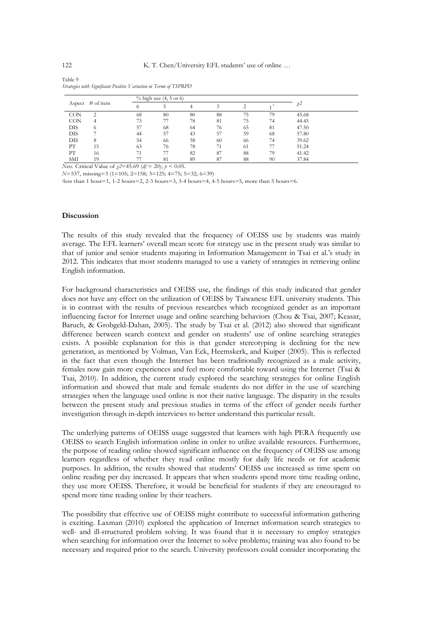| Aspect # of item |    | $%$ high use $(4, 5 \text{ or } 6)$ |    |    |    |    |    |       |
|------------------|----|-------------------------------------|----|----|----|----|----|-------|
|                  |    | $\circ$                             |    |    |    |    |    | χ2    |
| <b>CON</b>       |    | 68                                  | 80 | 80 | 88 | 75 | 79 | 45.68 |
| <b>CON</b>       |    | 73                                  |    | 78 | 81 | 75 | 74 | 44.45 |
| <b>DIS</b>       |    | 57                                  | 68 | 64 | 76 | 65 | 81 | 47.50 |
| DIS              |    | 44                                  | 57 | 43 | 57 | 59 | 68 | 57.80 |
| <b>DIS</b>       | 8  | 54                                  | 66 | 58 | 60 | 66 | 74 | 39.62 |
| PТ               | 15 | 63                                  | 76 | 78 |    | 61 |    | 51.24 |
| PТ               | 16 |                                     |    | 82 | 87 | 88 | 79 | 41.42 |
| <b>SMI</b>       | 19 |                                     | 81 | 89 | 87 | 88 | 90 | 37.84 |

Table 9 *Strategies with Significant Positive Variation in Terms of TSPRPD*

*Note.* Critical Value of *χ2*=45.69 (*df* = 20); *p* < 0.05.

*N*=537, missing=3 (1=105; 2=158; 3=125; 4=75; 5=32; 6=39)

a less than 1 hour=1, 1-2 hours=2, 2-3 hours=3, 3-4 hours=4, 4-5 hours=5, more than 5 hours=6.

#### **Discussion**

The results of this study revealed that the frequency of OEISS use by students was mainly average. The EFL learners' overall mean score for strategy use in the present study was similar to that of junior and senior students majoring in Information Management in Tsai et al.'s study in 2012. This indicates that most students managed to use a variety of strategies in retrieving online English information.

For background characteristics and OEISS use, the findings of this study indicated that gender does not have any effect on the utilization of OEISS by Taiwanese EFL university students. This is in contrast with the results of previous researches which recognized gender as an important influencing factor for Internet usage and online searching behaviors (Chou & Tsai, 2007; Keasar, Baruch, & Grobgeld-Dahan, 2005). The study by Tsai et al. (2012) also showed that significant difference between search context and gender on students' use of online searching strategies exists. A possible explanation for this is that gender stereotyping is declining for the new generation, as mentioned by Volman, Van Eck, Heemskerk, and Kuiper (2005). This is reflected in the fact that even though the Internet has been traditionally recognized as a male activity, females now gain more experiences and feel more comfortable toward using the Internet (Tsai & Tsai, 2010). In addition, the current study explored the searching strategies for online English information and showed that male and female students do not differ in the use of searching strategies when the language used online is not their native language. The disparity in the results between the present study and previous studies in terms of the effect of gender needs further investigation through in-depth interviews to better understand this particular result.

The underlying patterns of OEISS usage suggested that learners with high PERA frequently use OEISS to search English information online in order to utilize available resources. Furthermore, the purpose of reading online showed significant influence on the frequency of OEISS use among learners regardless of whether they read online mostly for daily life needs or for academic purposes. In addition, the results showed that students' OEISS use increased as time spent on online reading per day increased. It appears that when students spend more time reading online, they use more OEISS. Therefore, it would be beneficial for students if they are encouraged to spend more time reading online by their teachers.

The possibility that effective use of OEISS might contribute to successful information gathering is exciting. Laxman (2010) explored the application of Internet information search strategies to well- and ill-structured problem solving. It was found that it is necessary to employ strategies when searching for information over the Internet to solve problems; training was also found to be necessary and required prior to the search. University professors could consider incorporating the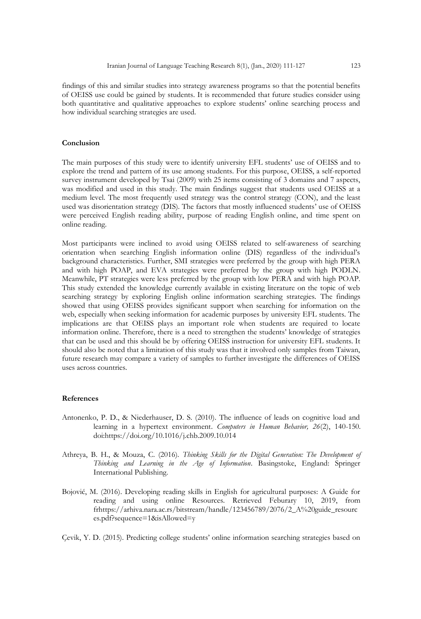findings of this and similar studies into strategy awareness programs so that the potential benefits of OEISS use could be gained by students. It is recommended that future studies consider using both quantitative and qualitative approaches to explore students' online searching process and how individual searching strategies are used.

#### **Conclusion**

The main purposes of this study were to identify university EFL students' use of OEISS and to explore the trend and pattern of its use among students. For this purpose, OEISS, a self-reported survey instrument developed by Tsai (2009) with 25 items consisting of 3 domains and 7 aspects, was modified and used in this study. The main findings suggest that students used OEISS at a medium level. The most frequently used strategy was the control strategy (CON), and the least used was disorientation strategy (DIS). The factors that mostly influenced students' use of OEISS were perceived English reading ability, purpose of reading English online, and time spent on online reading.

Most participants were inclined to avoid using OEISS related to self-awareness of searching orientation when searching English information online (DIS) regardless of the individual's background characteristics. Further, SMI strategies were preferred by the group with high PERA and with high POAP, and EVA strategies were preferred by the group with high PODLN. Meanwhile, PT strategies were less preferred by the group with low PERA and with high POAP. This study extended the knowledge currently available in existing literature on the topic of web searching strategy by exploring English online information searching strategies. The findings showed that using OEISS provides significant support when searching for information on the web, especially when seeking information for academic purposes by university EFL students. The implications are that OEISS plays an important role when students are required to locate information online. Therefore, there is a need to strengthen the students' knowledge of strategies that can be used and this should be by offering OEISS instruction for university EFL students. It should also be noted that a limitation of this study was that it involved only samples from Taiwan, future research may compare a variety of samples to further investigate the differences of OEISS uses across countries.

#### **References**

- Antonenko, P. D., & Niederhauser, D. S. (2010). The influence of leads on cognitive load and learning in a hypertext environment. *Computers in Human Behavior, 26*(2), 140-150. doi:https://doi.org/10.1016/j.chb.2009.10.014
- Athreya, B. H., & Mouza, C. (2016). *Thinking Skills for the Digital Generation: The Development of Thinking and Learning in the Age of Information*. Basingstoke, England: Springer International Publishing.
- Bojović, M. (2016). Developing reading skills in English for agricultural purposes: A Guide for reading and using online Resources. Retrieved Feburary 10, 2019, from frhttps://arhiva.nara.ac.rs/bitstream/handle/123456789/2076/2\_A%20guide\_resourc es.pdf?sequence=1&isAllowed=y

Çevik, Y. D. (2015). Predicting college students' online information searching strategies based on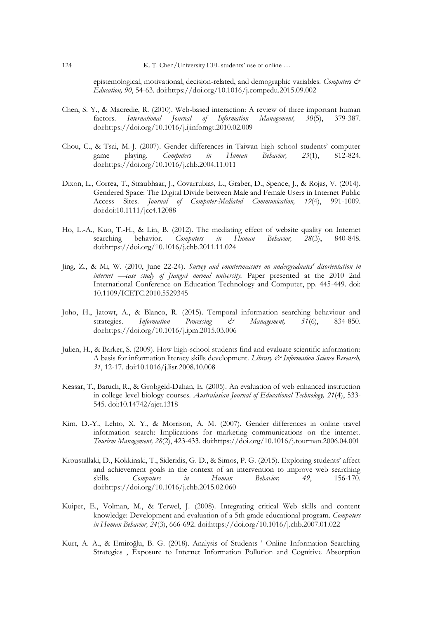epistemological, motivational, decision-related, and demographic variables. *Computers & Education, 90*, 54-63. doi:https://doi.org/10.1016/j.compedu.2015.09.002

- Chen, S. Y., & Macredie, R. (2010). Web-based interaction: A review of three important human factors. *International Journal of Information Management*, 30(5), 379-387. factors. *International Journal of Information* doi:https://doi.org/10.1016/j.ijinfomgt.2010.02.009
- Chou, C., & Tsai, M.-J. (2007). Gender differences in Taiwan high school students' computer game playing. *Computers in Human Behavior, 23*(1), 812-824. doi:https://doi.org/10.1016/j.chb.2004.11.011
- Dixon, L., Correa, T., Straubhaar, J., Covarrubias, L., Graber, D., Spence, J., & Rojas, V. (2014). Gendered Space: The Digital Divide between Male and Female Users in Internet Public Access Sites. *Journal of Computer-Mediated Communication, 19*(4), 991-1009. doi:doi:10.1111/jcc4.12088
- Ho, L.-A., Kuo, T.-H., & Lin, B. (2012). The mediating effect of website quality on Internet searching behavior. Computers in Human Behavior, 28(3), 840-848. searching behavior. *Computers in Human Behavior, 28*(3), 840-848. doi:https://doi.org/10.1016/j.chb.2011.11.024
- Jing, Z., & Mi, W. (2010, June 22-24). *Survey and countermeasure on undergraduates' disorientation in internet —case study of Jiangxi normal university.* Paper presented at the 2010 2nd International Conference on Education Technology and Computer, pp. 445-449. doi: 10.1109/ICETC.2010.5529345
- Joho, H., Jatowt, A., & Blanco, R. (2015). Temporal information searching behaviour and strategies. *Information Processing & Management, 51*(6), 834-850. doi:https://doi.org/10.1016/j.ipm.2015.03.006
- Julien, H., & Barker, S. (2009). How high-school students find and evaluate scientific information: A basis for information literacy skills development. *Library & Information Science Research, 31*, 12-17. doi:10.1016/j.lisr.2008.10.008
- Keasar, T., Baruch, R., & Grobgeld-Dahan, E. (2005). An evaluation of web enhanced instruction in college level biology courses. *Australasian Journal of Educational Technology, 21*(4), 533- 545. doi:10.14742/ajet.1318
- Kim, D.-Y., Lehto, X. Y., & Morrison, A. M. (2007). Gender differences in online travel information search: Implications for marketing communications on the internet. *Tourism Management, 28*(2), 423-433. doi:https://doi.org/10.1016/j.tourman.2006.04.001
- Kroustallaki, D., Kokkinaki, T., Sideridis, G. D., & Simos, P. G. (2015). Exploring students' affect and achievement goals in the context of an intervention to improve web searching skills. *Computers in Human Behavior, 49*, 156-170. doi:https://doi.org/10.1016/j.chb.2015.02.060
- Kuiper, E., Volman, M., & Terwel, J. (2008). Integrating critical Web skills and content knowledge: Development and evaluation of a 5th grade educational program. *Computers in Human Behavior, 24*(3), 666-692. doi:https://doi.org/10.1016/j.chb.2007.01.022
- Kurt, A. A., & Emiroğlu, B. G. (2018). Analysis of Students ' Online Information Searching Strategies , Exposure to Internet Information Pollution and Cognitive Absorption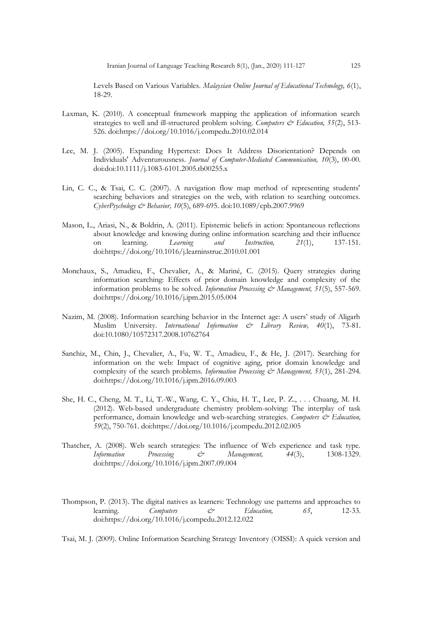Levels Based on Various Variables. *Malaysian Online Journal of Educational Technology, 6*(1), 18-29.

- Laxman, K. (2010). A conceptual framework mapping the application of information search strategies to well and ill-structured problem solving. *Computers & Education*, 55(2), 513-526. doi:https://doi.org/10.1016/j.compedu.2010.02.014
- Lee, M. J. (2005). Expanding Hypertext: Does It Address Disorientation? Depends on Individuals' Adventurousness. *Journal of Computer-Mediated Communication, 10*(3), 00-00. doi:doi:10.1111/j.1083-6101.2005.tb00255.x
- Lin, C. C., & Tsai, C. C. (2007). A navigation flow map method of representing students' searching behaviors and strategies on the web, with relation to searching outcomes. *CyberPsychology & Behavior, 10*(5), 689-695. doi:10.1089/cpb.2007.9969
- Mason, L., Ariasi, N., & Boldrin, A. (2011). Epistemic beliefs in action: Spontaneous reflections about knowledge and knowing during online information searching and their influence on learning. *Learning and Instruction, 21*(1), 137-151. doi:https://doi.org/10.1016/j.learninstruc.2010.01.001
- Monchaux, S., Amadieu, F., Chevalier, A., & Mariné, C. (2015). Query strategies during information searching: Effects of prior domain knowledge and complexity of the information problems to be solved. *Information Processing & Management, 51*(5), 557-569. doi:https://doi.org/10.1016/j.ipm.2015.05.004
- Nazim, M. (2008). Information searching behavior in the Internet age: A users' study of Aligarh Muslim University. *International Information & Library Review, 40*(1), 73-81. doi:10.1080/10572317.2008.10762764
- Sanchiz, M., Chin, J., Chevalier, A., Fu, W. T., Amadieu, F., & He, J. (2017). Searching for information on the web: Impact of cognitive aging, prior domain knowledge and complexity of the search problems. *Information Processing & Management*, 53(1), 281-294. doi:https://doi.org/10.1016/j.ipm.2016.09.003
- She, H. C., Cheng, M. T., Li, T.-W., Wang, C. Y., Chiu, H. T., Lee, P. Z., . . . Chuang, M. H. (2012). Web-based undergraduate chemistry problem-solving: The interplay of task performance, domain knowledge and web-searching strategies. *Computers & Education*, *59*(2), 750-761. doi:https://doi.org/10.1016/j.compedu.2012.02.005
- Thatcher, A. (2008). Web search strategies: The influence of Web experience and task type. *Information Processing & Management, 44*(3), 1308-1329. doi:https://doi.org/10.1016/j.ipm.2007.09.004
- Thompson, P. (2013). The digital natives as learners: Technology use patterns and approaches to learning. Computers  $\phi$  Education. 65, 12-33. learning. *Computers*  $\&c$ <sup>2</sup> Education, 65, 12-33. doi:https://doi.org/10.1016/j.compedu.2012.12.022

Tsai, M. J. (2009). Online Information Searching Strategy Inventory (OISSI): A quick version and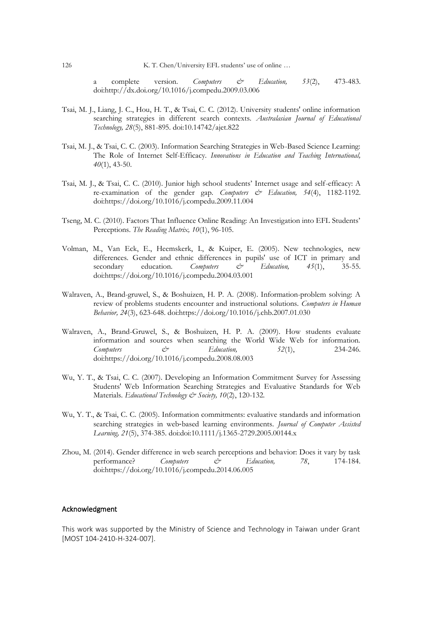a complete version. *Computers & Education*, 53(2), 473-483. doi:http://dx.doi.org/10.1016/j.compedu.2009.03.006

- Tsai, M. J., Liang, J. C., Hou, H. T., & Tsai, C. C. (2012). University students' online information searching strategies in different search contexts. *Australasian Journal of Educational Technology, 28*(5), 881-895. doi:10.14742/ajet.822
- Tsai, M. J., & Tsai, C. C. (2003). Information Searching Strategies in Web-Based Science Learning: The Role of Internet Self-Efficacy. *Innovations in Education and Teaching International, 40*(1), 43-50.
- Tsai, M. J., & Tsai, C. C. (2010). Junior high school students' Internet usage and self-efficacy: A re-examination of the gender gap. *Computers & Education*, 54(4), 1182-1192. doi:https://doi.org/10.1016/j.compedu.2009.11.004
- Tseng, M. C. (2010). Factors That Influence Online Reading: An Investigation into EFL Students' Perceptions. *The Reading Matrix, 10*(1), 96-105.
- Volman, M., Van Eck, E., Heemskerk, I., & Kuiper, E. (2005). New technologies, new differences. Gender and ethnic differences in pupils' use of ICT in primary and secondary education. Computers  $\zeta^*$  Education, 45(1), 35-55.  $secondary$  education. doi:https://doi.org/10.1016/j.compedu.2004.03.001
- Walraven, A., Brand-gruwel, S., & Boshuizen, H. P. A. (2008). Information-problem solving: A review of problems students encounter and instructional solutions. *Computers in Human Behavior, 24*(3), 623-648. doi:https://doi.org/10.1016/j.chb.2007.01.030
- Walraven, A., Brand-Gruwel, S., & Boshuizen, H. P. A. (2009). How students evaluate information and sources when searching the World Wide Web for information.  $Computers$   $\csc$   $\csc$   $Education$ ,  $52(1)$ ,  $234-246$ . doi:https://doi.org/10.1016/j.compedu.2008.08.003
- Wu, Y. T., & Tsai, C. C. (2007). Developing an Information Commitment Survey for Assessing Students' Web Information Searching Strategies and Evaluative Standards for Web Materials. *Educational Technology & Society, 10*(2), 120-132.
- Wu, Y. T., & Tsai, C. C. (2005). Information commitments: evaluative standards and information searching strategies in web-based learning environments. *Journal of Computer Assisted Learning, 21*(5), 374-385. doi:doi:10.1111/j.1365-2729.2005.00144.x
- Zhou, M. (2014). Gender difference in web search perceptions and behavior: Does it vary by task performance? *Computers & Education, 78*, 174-184. doi:https://doi.org/10.1016/j.compedu.2014.06.005

#### Acknowledgment

This work was supported by the Ministry of Science and Technology in Taiwan under Grant [MOST 104-2410-H-324-007].